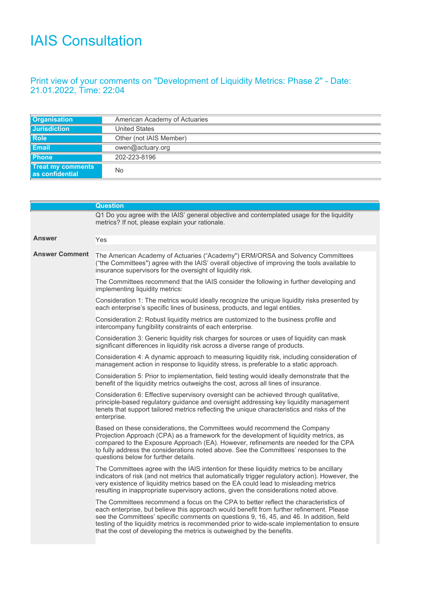## IAIS Consultation

## Print view of your comments on "Development of Liquidity Metrics: Phase 2" - Date: 21.01.2022, Time: 22:04

| <b>Organisation</b>                                | American Academy of Actuaries |
|----------------------------------------------------|-------------------------------|
| <b>Jurisdiction</b>                                | <b>United States</b>          |
| <b>Role</b>                                        | Other (not IAIS Member)       |
| Email                                              | owen@actuary.org              |
| <b>Phone</b>                                       | 202-223-8196                  |
| <b>Treat my comments</b><br><b>as confidential</b> | No                            |

|                       | <b>Question</b>                                                                                                                                                                                                                                                                                                                                                                                                                                        |
|-----------------------|--------------------------------------------------------------------------------------------------------------------------------------------------------------------------------------------------------------------------------------------------------------------------------------------------------------------------------------------------------------------------------------------------------------------------------------------------------|
|                       | Q1 Do you agree with the IAIS' general objective and contemplated usage for the liquidity<br>metrics? If not, please explain your rationale.                                                                                                                                                                                                                                                                                                           |
| <b>Answer</b>         | Yes                                                                                                                                                                                                                                                                                                                                                                                                                                                    |
| <b>Answer Comment</b> | The American Academy of Actuaries ("Academy") ERM/ORSA and Solvency Committees<br>("the Committees") agree with the IAIS' overall objective of improving the tools available to<br>insurance supervisors for the oversight of liquidity risk.                                                                                                                                                                                                          |
|                       | The Committees recommend that the IAIS consider the following in further developing and<br>implementing liquidity metrics:                                                                                                                                                                                                                                                                                                                             |
|                       | Consideration 1: The metrics would ideally recognize the unique liquidity risks presented by<br>each enterprise's specific lines of business, products, and legal entities.                                                                                                                                                                                                                                                                            |
|                       | Consideration 2: Robust liquidity metrics are customized to the business profile and<br>intercompany fungibility constraints of each enterprise.                                                                                                                                                                                                                                                                                                       |
|                       | Consideration 3: Generic liquidity risk charges for sources or uses of liquidity can mask<br>significant differences in liquidity risk across a diverse range of products.                                                                                                                                                                                                                                                                             |
|                       | Consideration 4: A dynamic approach to measuring liquidity risk, including consideration of<br>management action in response to liquidity stress, is preferable to a static approach.                                                                                                                                                                                                                                                                  |
|                       | Consideration 5: Prior to implementation, field testing would ideally demonstrate that the<br>benefit of the liquidity metrics outweighs the cost, across all lines of insurance.                                                                                                                                                                                                                                                                      |
|                       | Consideration 6: Effective supervisory oversight can be achieved through qualitative,<br>principle-based regulatory guidance and oversight addressing key liquidity management<br>tenets that support tailored metrics reflecting the unique characteristics and risks of the<br>enterprise.                                                                                                                                                           |
|                       | Based on these considerations, the Committees would recommend the Company<br>Projection Approach (CPA) as a framework for the development of liquidity metrics, as<br>compared to the Exposure Approach (EA). However, refinements are needed for the CPA<br>to fully address the considerations noted above. See the Committees' responses to the<br>questions below for further details.                                                             |
|                       | The Committees agree with the IAIS intention for these liquidity metrics to be ancillary<br>indicators of risk (and not metrics that automatically trigger regulatory action). However, the<br>very existence of liquidity metrics based on the EA could lead to misleading metrics<br>resulting in inappropriate supervisory actions, given the considerations noted above.                                                                           |
|                       | The Committees recommend a focus on the CPA to better reflect the characteristics of<br>each enterprise, but believe this approach would benefit from further refinement. Please<br>see the Committees' specific comments on questions 9, 16, 45, and 46. In addition, field<br>testing of the liquidity metrics is recommended prior to wide-scale implementation to ensure<br>that the cost of developing the metrics is outweighed by the benefits. |
|                       |                                                                                                                                                                                                                                                                                                                                                                                                                                                        |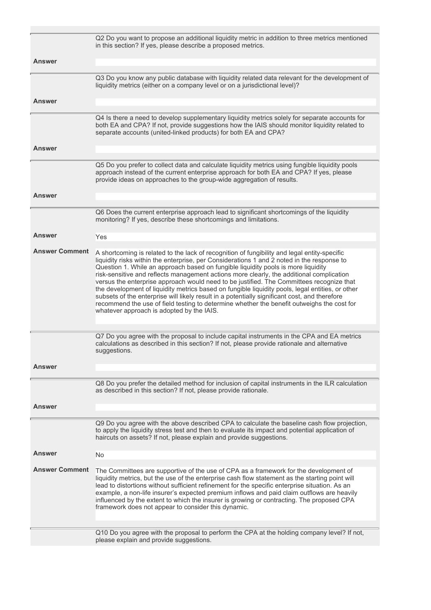|                       | Q2 Do you want to propose an additional liquidity metric in addition to three metrics mentioned<br>in this section? If yes, please describe a proposed metrics.                                                                                                                                                                                                                                                                                                                                                                                                                                                                                                                                                                                                                                                         |
|-----------------------|-------------------------------------------------------------------------------------------------------------------------------------------------------------------------------------------------------------------------------------------------------------------------------------------------------------------------------------------------------------------------------------------------------------------------------------------------------------------------------------------------------------------------------------------------------------------------------------------------------------------------------------------------------------------------------------------------------------------------------------------------------------------------------------------------------------------------|
| <b>Answer</b>         |                                                                                                                                                                                                                                                                                                                                                                                                                                                                                                                                                                                                                                                                                                                                                                                                                         |
|                       | Q3 Do you know any public database with liquidity related data relevant for the development of                                                                                                                                                                                                                                                                                                                                                                                                                                                                                                                                                                                                                                                                                                                          |
|                       | liquidity metrics (either on a company level or on a jurisdictional level)?                                                                                                                                                                                                                                                                                                                                                                                                                                                                                                                                                                                                                                                                                                                                             |
| Answer                |                                                                                                                                                                                                                                                                                                                                                                                                                                                                                                                                                                                                                                                                                                                                                                                                                         |
|                       | Q4 Is there a need to develop supplementary liquidity metrics solely for separate accounts for<br>both EA and CPA? If not, provide suggestions how the IAIS should monitor liquidity related to<br>separate accounts (united-linked products) for both EA and CPA?                                                                                                                                                                                                                                                                                                                                                                                                                                                                                                                                                      |
| <b>Answer</b>         |                                                                                                                                                                                                                                                                                                                                                                                                                                                                                                                                                                                                                                                                                                                                                                                                                         |
|                       | Q5 Do you prefer to collect data and calculate liquidity metrics using fungible liquidity pools<br>approach instead of the current enterprise approach for both EA and CPA? If yes, please<br>provide ideas on approaches to the group-wide aggregation of results.                                                                                                                                                                                                                                                                                                                                                                                                                                                                                                                                                     |
| <b>Answer</b>         |                                                                                                                                                                                                                                                                                                                                                                                                                                                                                                                                                                                                                                                                                                                                                                                                                         |
|                       | Q6 Does the current enterprise approach lead to significant shortcomings of the liquidity<br>monitoring? If yes, describe these shortcomings and limitations.                                                                                                                                                                                                                                                                                                                                                                                                                                                                                                                                                                                                                                                           |
| Answer                | Yes                                                                                                                                                                                                                                                                                                                                                                                                                                                                                                                                                                                                                                                                                                                                                                                                                     |
| <b>Answer Comment</b> | A shortcoming is related to the lack of recognition of fungibility and legal entity-specific<br>liquidity risks within the enterprise, per Considerations 1 and 2 noted in the response to<br>Question 1. While an approach based on fungible liquidity pools is more liquidity<br>risk-sensitive and reflects management actions more clearly, the additional complication<br>versus the enterprise approach would need to be justified. The Committees recognize that<br>the development of liquidity metrics based on fungible liquidity pools, legal entities, or other<br>subsets of the enterprise will likely result in a potentially significant cost, and therefore<br>recommend the use of field testing to determine whether the benefit outweighs the cost for<br>whatever approach is adopted by the IAIS. |
|                       | Q7 Do you agree with the proposal to include capital instruments in the CPA and EA metrics<br>calculations as described in this section? If not, please provide rationale and alternative<br>suggestions.                                                                                                                                                                                                                                                                                                                                                                                                                                                                                                                                                                                                               |
| Answer                |                                                                                                                                                                                                                                                                                                                                                                                                                                                                                                                                                                                                                                                                                                                                                                                                                         |
|                       | Q8 Do you prefer the detailed method for inclusion of capital instruments in the ILR calculation<br>as described in this section? If not, please provide rationale.                                                                                                                                                                                                                                                                                                                                                                                                                                                                                                                                                                                                                                                     |
| <b>Answer</b>         |                                                                                                                                                                                                                                                                                                                                                                                                                                                                                                                                                                                                                                                                                                                                                                                                                         |
|                       | Q9 Do you agree with the above described CPA to calculate the baseline cash flow projection,<br>to apply the liquidity stress test and then to evaluate its impact and potential application of<br>haircuts on assets? If not, please explain and provide suggestions.                                                                                                                                                                                                                                                                                                                                                                                                                                                                                                                                                  |
| <b>Answer</b>         | No                                                                                                                                                                                                                                                                                                                                                                                                                                                                                                                                                                                                                                                                                                                                                                                                                      |
| <b>Answer Comment</b> | The Committees are supportive of the use of CPA as a framework for the development of<br>liquidity metrics, but the use of the enterprise cash flow statement as the starting point will<br>lead to distortions without sufficient refinement for the specific enterprise situation. As an<br>example, a non-life insurer's expected premium inflows and paid claim outflows are heavily<br>influenced by the extent to which the insurer is growing or contracting. The proposed CPA<br>framework does not appear to consider this dynamic.                                                                                                                                                                                                                                                                            |
|                       | Q10 Do you agree with the proposal to perform the CPA at the holding company level? If not,<br>please explain and provide suggestions.                                                                                                                                                                                                                                                                                                                                                                                                                                                                                                                                                                                                                                                                                  |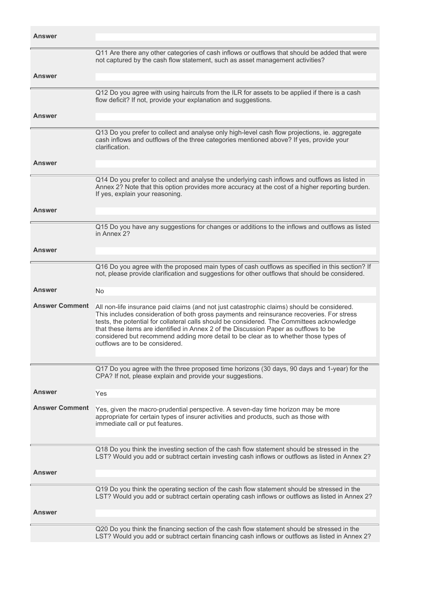| <b>Answer</b>         |                                                                                                                                                                                                                                                                                                                                                                                                                                                                                                          |
|-----------------------|----------------------------------------------------------------------------------------------------------------------------------------------------------------------------------------------------------------------------------------------------------------------------------------------------------------------------------------------------------------------------------------------------------------------------------------------------------------------------------------------------------|
| <b>Answer</b>         | Q11 Are there any other categories of cash inflows or outflows that should be added that were<br>not captured by the cash flow statement, such as asset management activities?                                                                                                                                                                                                                                                                                                                           |
|                       |                                                                                                                                                                                                                                                                                                                                                                                                                                                                                                          |
|                       | Q12 Do you agree with using haircuts from the ILR for assets to be applied if there is a cash<br>flow deficit? If not, provide your explanation and suggestions.                                                                                                                                                                                                                                                                                                                                         |
| Answer                |                                                                                                                                                                                                                                                                                                                                                                                                                                                                                                          |
|                       | Q13 Do you prefer to collect and analyse only high-level cash flow projections, ie. aggregate<br>cash inflows and outflows of the three categories mentioned above? If yes, provide your<br>clarification.                                                                                                                                                                                                                                                                                               |
| <b>Answer</b>         |                                                                                                                                                                                                                                                                                                                                                                                                                                                                                                          |
|                       | Q14 Do you prefer to collect and analyse the underlying cash inflows and outflows as listed in<br>Annex 2? Note that this option provides more accuracy at the cost of a higher reporting burden.<br>If yes, explain your reasoning.                                                                                                                                                                                                                                                                     |
| Answer                |                                                                                                                                                                                                                                                                                                                                                                                                                                                                                                          |
|                       | Q15 Do you have any suggestions for changes or additions to the inflows and outflows as listed                                                                                                                                                                                                                                                                                                                                                                                                           |
|                       | in Annex 22                                                                                                                                                                                                                                                                                                                                                                                                                                                                                              |
| Answer                |                                                                                                                                                                                                                                                                                                                                                                                                                                                                                                          |
|                       |                                                                                                                                                                                                                                                                                                                                                                                                                                                                                                          |
|                       | Q16 Do you agree with the proposed main types of cash outflows as specified in this section? If<br>not, please provide clarification and suggestions for other outflows that should be considered.                                                                                                                                                                                                                                                                                                       |
| Answer                |                                                                                                                                                                                                                                                                                                                                                                                                                                                                                                          |
|                       | No.                                                                                                                                                                                                                                                                                                                                                                                                                                                                                                      |
| <b>Answer Comment</b> | All non-life insurance paid claims (and not just catastrophic claims) should be considered.<br>This includes consideration of both gross payments and reinsurance recoveries. For stress<br>tests, the potential for collateral calls should be considered. The Committees acknowledge<br>that these items are identified in Annex 2 of the Discussion Paper as outflows to be<br>considered but recommend adding more detail to be clear as to whether those types of<br>outflows are to be considered. |
|                       |                                                                                                                                                                                                                                                                                                                                                                                                                                                                                                          |
|                       | Q17 Do you agree with the three proposed time horizons (30 days, 90 days and 1-year) for the<br>CPA? If not, please explain and provide your suggestions.                                                                                                                                                                                                                                                                                                                                                |
| <b>Answer</b>         | Yes                                                                                                                                                                                                                                                                                                                                                                                                                                                                                                      |
| <b>Answer Comment</b> | Yes, given the macro-prudential perspective. A seven-day time horizon may be more<br>appropriate for certain types of insurer activities and products, such as those with<br>immediate call or put features.                                                                                                                                                                                                                                                                                             |
|                       | Q18 Do you think the investing section of the cash flow statement should be stressed in the<br>LST? Would you add or subtract certain investing cash inflows or outflows as listed in Annex 2?                                                                                                                                                                                                                                                                                                           |
| Answer                |                                                                                                                                                                                                                                                                                                                                                                                                                                                                                                          |
|                       | Q19 Do you think the operating section of the cash flow statement should be stressed in the<br>LST? Would you add or subtract certain operating cash inflows or outflows as listed in Annex 2?                                                                                                                                                                                                                                                                                                           |
| Answer                |                                                                                                                                                                                                                                                                                                                                                                                                                                                                                                          |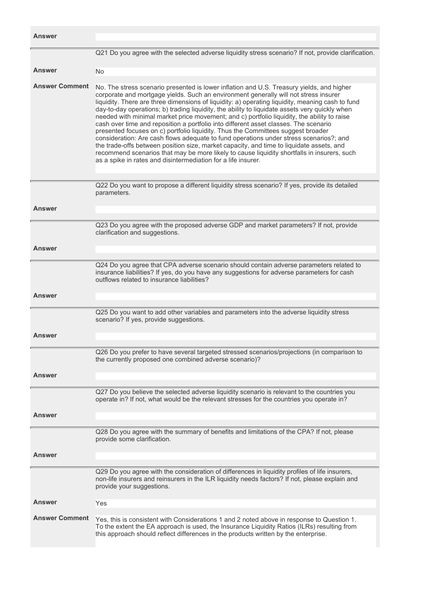| <b>Answer</b>         |                                                                                                                                                                                                                                                                                                                                                                                                                                                                                                                                                                                                                                                                                                                                                                                                                                                                                                                                                                                                                          |
|-----------------------|--------------------------------------------------------------------------------------------------------------------------------------------------------------------------------------------------------------------------------------------------------------------------------------------------------------------------------------------------------------------------------------------------------------------------------------------------------------------------------------------------------------------------------------------------------------------------------------------------------------------------------------------------------------------------------------------------------------------------------------------------------------------------------------------------------------------------------------------------------------------------------------------------------------------------------------------------------------------------------------------------------------------------|
|                       | Q21 Do you agree with the selected adverse liquidity stress scenario? If not, provide clarification.                                                                                                                                                                                                                                                                                                                                                                                                                                                                                                                                                                                                                                                                                                                                                                                                                                                                                                                     |
| <b>Answer</b>         | <b>No</b>                                                                                                                                                                                                                                                                                                                                                                                                                                                                                                                                                                                                                                                                                                                                                                                                                                                                                                                                                                                                                |
| <b>Answer Comment</b> | No. The stress scenario presented is lower inflation and U.S. Treasury yields, and higher<br>corporate and mortgage yields. Such an environment generally will not stress insurer<br>liquidity. There are three dimensions of liquidity: a) operating liquidity, meaning cash to fund<br>day-to-day operations; b) trading liquidity, the ability to liquidate assets very quickly when<br>needed with minimal market price movement; and c) portfolio liquidity, the ability to raise<br>cash over time and reposition a portfolio into different asset classes. The scenario<br>presented focuses on c) portfolio liquidity. Thus the Committees suggest broader<br>consideration: Are cash flows adequate to fund operations under stress scenarios?; and<br>the trade-offs between position size, market capacity, and time to liquidate assets, and<br>recommend scenarios that may be more likely to cause liquidity shortfalls in insurers, such<br>as a spike in rates and disintermediation for a life insurer. |
|                       | Q22 Do you want to propose a different liquidity stress scenario? If yes, provide its detailed<br>parameters.                                                                                                                                                                                                                                                                                                                                                                                                                                                                                                                                                                                                                                                                                                                                                                                                                                                                                                            |
| <b>Answer</b>         |                                                                                                                                                                                                                                                                                                                                                                                                                                                                                                                                                                                                                                                                                                                                                                                                                                                                                                                                                                                                                          |
|                       | Q23 Do you agree with the proposed adverse GDP and market parameters? If not, provide<br>clarification and suggestions.                                                                                                                                                                                                                                                                                                                                                                                                                                                                                                                                                                                                                                                                                                                                                                                                                                                                                                  |
| <b>Answer</b>         |                                                                                                                                                                                                                                                                                                                                                                                                                                                                                                                                                                                                                                                                                                                                                                                                                                                                                                                                                                                                                          |
|                       | Q24 Do you agree that CPA adverse scenario should contain adverse parameters related to<br>insurance liabilities? If yes, do you have any suggestions for adverse parameters for cash<br>outflows related to insurance liabilities?                                                                                                                                                                                                                                                                                                                                                                                                                                                                                                                                                                                                                                                                                                                                                                                      |
| <b>Answer</b>         |                                                                                                                                                                                                                                                                                                                                                                                                                                                                                                                                                                                                                                                                                                                                                                                                                                                                                                                                                                                                                          |
| <b>Answer</b>         | Q25 Do you want to add other variables and parameters into the adverse liquidity stress<br>scenario? If yes, provide suggestions.                                                                                                                                                                                                                                                                                                                                                                                                                                                                                                                                                                                                                                                                                                                                                                                                                                                                                        |
|                       |                                                                                                                                                                                                                                                                                                                                                                                                                                                                                                                                                                                                                                                                                                                                                                                                                                                                                                                                                                                                                          |
|                       | Q26 Do you prefer to have several targeted stressed scenarios/projections (in comparison to<br>the currently proposed one combined adverse scenario)?                                                                                                                                                                                                                                                                                                                                                                                                                                                                                                                                                                                                                                                                                                                                                                                                                                                                    |
| <b>Answer</b>         |                                                                                                                                                                                                                                                                                                                                                                                                                                                                                                                                                                                                                                                                                                                                                                                                                                                                                                                                                                                                                          |
|                       | Q27 Do you believe the selected adverse liquidity scenario is relevant to the countries you<br>operate in? If not, what would be the relevant stresses for the countries you operate in?                                                                                                                                                                                                                                                                                                                                                                                                                                                                                                                                                                                                                                                                                                                                                                                                                                 |
| <b>Answer</b>         |                                                                                                                                                                                                                                                                                                                                                                                                                                                                                                                                                                                                                                                                                                                                                                                                                                                                                                                                                                                                                          |
|                       | Q28 Do you agree with the summary of benefits and limitations of the CPA? If not, please<br>provide some clarification.                                                                                                                                                                                                                                                                                                                                                                                                                                                                                                                                                                                                                                                                                                                                                                                                                                                                                                  |
| <b>Answer</b>         |                                                                                                                                                                                                                                                                                                                                                                                                                                                                                                                                                                                                                                                                                                                                                                                                                                                                                                                                                                                                                          |
|                       | Q29 Do you agree with the consideration of differences in liquidity profiles of life insurers,<br>non-life insurers and reinsurers in the ILR liquidity needs factors? If not, please explain and<br>provide your suggestions.                                                                                                                                                                                                                                                                                                                                                                                                                                                                                                                                                                                                                                                                                                                                                                                           |
| <b>Answer</b>         | Yes                                                                                                                                                                                                                                                                                                                                                                                                                                                                                                                                                                                                                                                                                                                                                                                                                                                                                                                                                                                                                      |
| <b>Answer Comment</b> | Yes, this is consistent with Considerations 1 and 2 noted above in response to Question 1.<br>To the extent the EA approach is used, the Insurance Liquidity Ratios (ILRs) resulting from<br>this approach should reflect differences in the products written by the enterprise.                                                                                                                                                                                                                                                                                                                                                                                                                                                                                                                                                                                                                                                                                                                                         |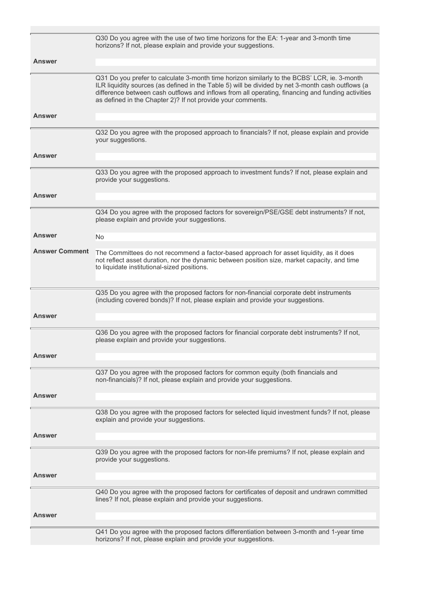|                       | Q30 Do you agree with the use of two time horizons for the EA: 1-year and 3-month time<br>horizons? If not, please explain and provide your suggestions.                                                                                                                                                                                                             |
|-----------------------|----------------------------------------------------------------------------------------------------------------------------------------------------------------------------------------------------------------------------------------------------------------------------------------------------------------------------------------------------------------------|
| <b>Answer</b>         |                                                                                                                                                                                                                                                                                                                                                                      |
|                       | Q31 Do you prefer to calculate 3-month time horizon similarly to the BCBS' LCR, ie. 3-month<br>ILR liquidity sources (as defined in the Table 5) will be divided by net 3-month cash outflows (a<br>difference between cash outflows and inflows from all operating, financing and funding activities<br>as defined in the Chapter 2)? If not provide your comments. |
| <b>Answer</b>         |                                                                                                                                                                                                                                                                                                                                                                      |
|                       | Q32 Do you agree with the proposed approach to financials? If not, please explain and provide<br>your suggestions.                                                                                                                                                                                                                                                   |
| <b>Answer</b>         |                                                                                                                                                                                                                                                                                                                                                                      |
|                       | Q33 Do you agree with the proposed approach to investment funds? If not, please explain and<br>provide your suggestions.                                                                                                                                                                                                                                             |
| <b>Answer</b>         |                                                                                                                                                                                                                                                                                                                                                                      |
|                       | Q34 Do you agree with the proposed factors for sovereign/PSE/GSE debt instruments? If not,<br>please explain and provide your suggestions.                                                                                                                                                                                                                           |
| <b>Answer</b>         | No.                                                                                                                                                                                                                                                                                                                                                                  |
| <b>Answer Comment</b> | The Committees do not recommend a factor-based approach for asset liquidity, as it does<br>not reflect asset duration, nor the dynamic between position size, market capacity, and time<br>to liquidate institutional-sized positions.                                                                                                                               |
|                       |                                                                                                                                                                                                                                                                                                                                                                      |
|                       | Q35 Do you agree with the proposed factors for non-financial corporate debt instruments<br>(including covered bonds)? If not, please explain and provide your suggestions.                                                                                                                                                                                           |
|                       |                                                                                                                                                                                                                                                                                                                                                                      |
| <b>Answer</b>         |                                                                                                                                                                                                                                                                                                                                                                      |
|                       | Q36 Do you agree with the proposed factors for financial corporate debt instruments? If not,<br>please explain and provide your suggestions.                                                                                                                                                                                                                         |
| Answer                |                                                                                                                                                                                                                                                                                                                                                                      |
|                       | Q37 Do you agree with the proposed factors for common equity (both financials and<br>non-financials)? If not, please explain and provide your suggestions.                                                                                                                                                                                                           |
| <b>Answer</b>         |                                                                                                                                                                                                                                                                                                                                                                      |
|                       | Q38 Do you agree with the proposed factors for selected liquid investment funds? If not, please<br>explain and provide your suggestions.                                                                                                                                                                                                                             |
| Answer                |                                                                                                                                                                                                                                                                                                                                                                      |
|                       | Q39 Do you agree with the proposed factors for non-life premiums? If not, please explain and<br>provide your suggestions.                                                                                                                                                                                                                                            |
| <b>Answer</b>         |                                                                                                                                                                                                                                                                                                                                                                      |
|                       | Q40 Do you agree with the proposed factors for certificates of deposit and undrawn committed<br>lines? If not, please explain and provide your suggestions.                                                                                                                                                                                                          |
| Answer                |                                                                                                                                                                                                                                                                                                                                                                      |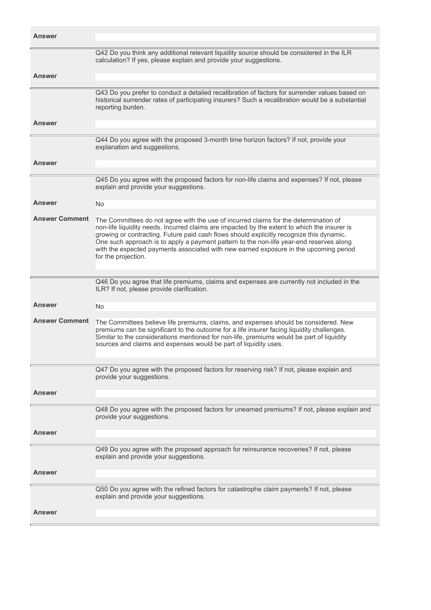| <b>Answer</b>         |                                                                                                                                                                                                                                                                                                                                                                                                                                                                                             |
|-----------------------|---------------------------------------------------------------------------------------------------------------------------------------------------------------------------------------------------------------------------------------------------------------------------------------------------------------------------------------------------------------------------------------------------------------------------------------------------------------------------------------------|
|                       | Q42 Do you think any additional relevant liquidity source should be considered in the ILR<br>calculation? If yes, please explain and provide your suggestions.                                                                                                                                                                                                                                                                                                                              |
| <b>Answer</b>         |                                                                                                                                                                                                                                                                                                                                                                                                                                                                                             |
|                       | Q43 Do you prefer to conduct a detailed recalibration of factors for surrender values based on<br>historical surrender rates of participating insurers? Such a recalibration would be a substantial<br>reporting burden.                                                                                                                                                                                                                                                                    |
| <b>Answer</b>         |                                                                                                                                                                                                                                                                                                                                                                                                                                                                                             |
|                       | Q44 Do you agree with the proposed 3-month time horizon factors? If not, provide your<br>explanation and suggestions.                                                                                                                                                                                                                                                                                                                                                                       |
| Answer                |                                                                                                                                                                                                                                                                                                                                                                                                                                                                                             |
|                       | Q45 Do you agree with the proposed factors for non-life claims and expenses? If not, please<br>explain and provide your suggestions.                                                                                                                                                                                                                                                                                                                                                        |
| Answer                | No.                                                                                                                                                                                                                                                                                                                                                                                                                                                                                         |
| <b>Answer Comment</b> | The Committees do not agree with the use of incurred claims for the determination of<br>non-life liquidity needs. Incurred claims are impacted by the extent to which the insurer is<br>growing or contracting. Future paid cash flows should explicitly recognize this dynamic.<br>One such approach is to apply a payment pattern to the non-life year-end reserves along<br>with the expected payments associated with new earned exposure in the upcoming period<br>for the projection. |
|                       | Q46 Do you agree that life premiums, claims and expenses are currently not included in the                                                                                                                                                                                                                                                                                                                                                                                                  |
|                       | ILR? If not, please provide clarification.                                                                                                                                                                                                                                                                                                                                                                                                                                                  |
| Answer                | No.                                                                                                                                                                                                                                                                                                                                                                                                                                                                                         |
| <b>Answer Comment</b> | The Committees believe life premiums, claims, and expenses should be considered. New<br>premiums can be significant to the outcome for a life insurer facing liquidity challenges.<br>Similar to the considerations mentioned for non-life, premiums would be part of liquidity<br>sources and claims and expenses would be part of liquidity uses.                                                                                                                                         |
|                       | Q47 Do you agree with the proposed factors for reserving risk? If not, please explain and<br>provide your suggestions.                                                                                                                                                                                                                                                                                                                                                                      |
| <b>Answer</b>         |                                                                                                                                                                                                                                                                                                                                                                                                                                                                                             |
|                       |                                                                                                                                                                                                                                                                                                                                                                                                                                                                                             |
|                       | Q48 Do you agree with the proposed factors for unearned premiums? If not, please explain and<br>provide your suggestions.                                                                                                                                                                                                                                                                                                                                                                   |
| Answer                |                                                                                                                                                                                                                                                                                                                                                                                                                                                                                             |
|                       | Q49 Do you agree with the proposed approach for reinsurance recoveries? If not, please<br>explain and provide your suggestions.                                                                                                                                                                                                                                                                                                                                                             |
| Answer                |                                                                                                                                                                                                                                                                                                                                                                                                                                                                                             |
|                       | Q50 Do you agree with the refined factors for catastrophe claim payments? If not, please<br>explain and provide your suggestions.                                                                                                                                                                                                                                                                                                                                                           |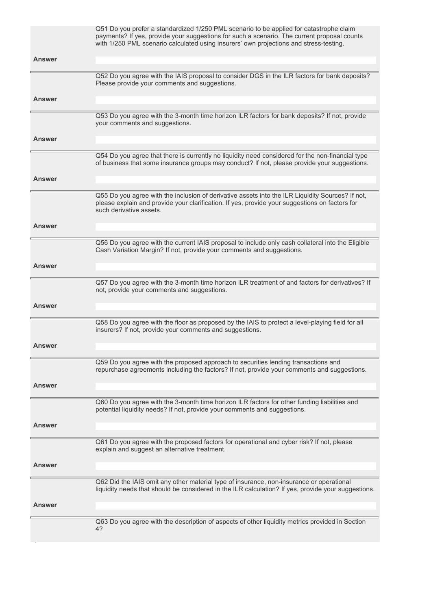|               | Q51 Do you prefer a standardized 1/250 PML scenario to be applied for catastrophe claim<br>payments? If yes, provide your suggestions for such a scenario. The current proposal counts<br>with 1/250 PML scenario calculated using insurers' own projections and stress-testing. |
|---------------|----------------------------------------------------------------------------------------------------------------------------------------------------------------------------------------------------------------------------------------------------------------------------------|
| Answer        |                                                                                                                                                                                                                                                                                  |
|               | Q52 Do you agree with the IAIS proposal to consider DGS in the ILR factors for bank deposits?<br>Please provide your comments and suggestions.                                                                                                                                   |
| <b>Answer</b> |                                                                                                                                                                                                                                                                                  |
|               | Q53 Do you agree with the 3-month time horizon ILR factors for bank deposits? If not, provide<br>your comments and suggestions.                                                                                                                                                  |
| Answer        |                                                                                                                                                                                                                                                                                  |
|               | Q54 Do you agree that there is currently no liquidity need considered for the non-financial type<br>of business that some insurance groups may conduct? If not, please provide your suggestions.                                                                                 |
| <b>Answer</b> |                                                                                                                                                                                                                                                                                  |
|               | Q55 Do you agree with the inclusion of derivative assets into the ILR Liquidity Sources? If not,<br>please explain and provide your clarification. If yes, provide your suggestions on factors for<br>such derivative assets.                                                    |
| <b>Answer</b> |                                                                                                                                                                                                                                                                                  |
|               | Q56 Do you agree with the current IAIS proposal to include only cash collateral into the Eligible                                                                                                                                                                                |
|               | Cash Variation Margin? If not, provide your comments and suggestions.                                                                                                                                                                                                            |
| <b>Answer</b> |                                                                                                                                                                                                                                                                                  |
|               | Q57 Do you agree with the 3-month time horizon ILR treatment of and factors for derivatives? If<br>not, provide your comments and suggestions.                                                                                                                                   |
| Answer        |                                                                                                                                                                                                                                                                                  |
|               | Q58 Do you agree with the floor as proposed by the IAIS to protect a level-playing field for all<br>insurers? If not, provide your comments and suggestions.                                                                                                                     |
| Answer        |                                                                                                                                                                                                                                                                                  |
|               | Q59 Do you agree with the proposed approach to securities lending transactions and<br>repurchase agreements including the factors? If not, provide your comments and suggestions.                                                                                                |
| Answer        |                                                                                                                                                                                                                                                                                  |
|               | Q60 Do you agree with the 3-month time horizon ILR factors for other funding liabilities and<br>potential liquidity needs? If not, provide your comments and suggestions.                                                                                                        |
| Answer        |                                                                                                                                                                                                                                                                                  |
|               | Q61 Do you agree with the proposed factors for operational and cyber risk? If not, please<br>explain and suggest an alternative treatment.                                                                                                                                       |
| Answer        |                                                                                                                                                                                                                                                                                  |
|               | Q62 Did the IAIS omit any other material type of insurance, non-insurance or operational                                                                                                                                                                                         |
|               | liquidity needs that should be considered in the ILR calculation? If yes, provide your suggestions.                                                                                                                                                                              |
| Answer        |                                                                                                                                                                                                                                                                                  |
|               | Q63 Do you agree with the description of aspects of other liquidity metrics provided in Section<br>4?                                                                                                                                                                            |